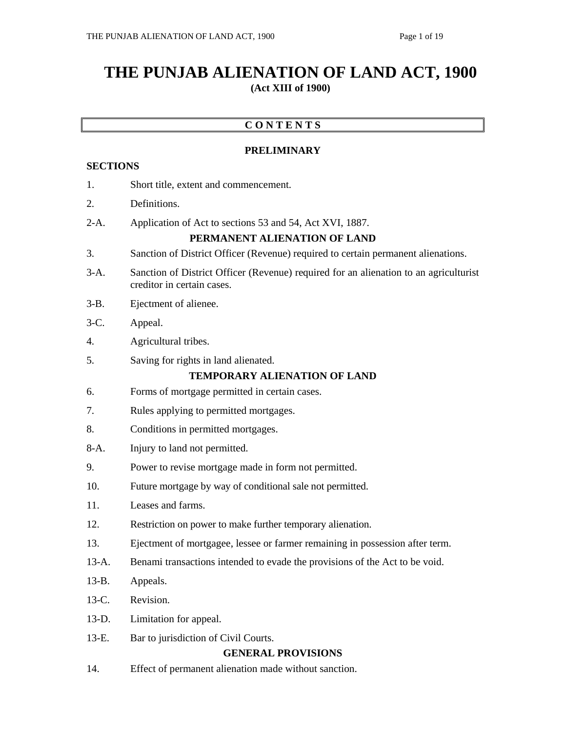# **THE PUNJAB ALIENATION OF LAND ACT, 1900 (Act XIII of 1900)**

# **C O N T E N T S**

# **PRELIMINARY**

# **SECTIONS**

| 1.                                  | Short title, extent and commencement.                                                                               |
|-------------------------------------|---------------------------------------------------------------------------------------------------------------------|
| 2.                                  | Definitions.                                                                                                        |
| $2-A.$                              | Application of Act to sections 53 and 54, Act XVI, 1887.<br>PERMANENT ALIENATION OF LAND                            |
| 3.                                  | Sanction of District Officer (Revenue) required to certain permanent alienations.                                   |
| $3-A.$                              | Sanction of District Officer (Revenue) required for an alienation to an agriculturist<br>creditor in certain cases. |
| $3-B.$                              | Ejectment of alienee.                                                                                               |
| $3-C$ .                             | Appeal.                                                                                                             |
| 4.                                  | Agricultural tribes.                                                                                                |
| 5.                                  | Saving for rights in land alienated.                                                                                |
| <b>TEMPORARY ALIENATION OF LAND</b> |                                                                                                                     |
| 6.                                  | Forms of mortgage permitted in certain cases.                                                                       |
| 7.                                  | Rules applying to permitted mortgages.                                                                              |
| 8.                                  | Conditions in permitted mortgages.                                                                                  |
| $8-A.$                              | Injury to land not permitted.                                                                                       |
| 9.                                  | Power to revise mortgage made in form not permitted.                                                                |
| 10.                                 | Future mortgage by way of conditional sale not permitted.                                                           |
| 11.                                 | Leases and farms.                                                                                                   |
| 12.                                 | Restriction on power to make further temporary alienation.                                                          |
| 13.                                 | Ejectment of mortgagee, lessee or farmer remaining in possession after term.                                        |
| $13-A.$                             | Benami transactions intended to evade the provisions of the Act to be void.                                         |
| $13-B.$                             | Appeals.                                                                                                            |
| 13-C.                               | Revision.                                                                                                           |
| $13-D.$                             | Limitation for appeal.                                                                                              |
| 13-E.                               | Bar to jurisdiction of Civil Courts.                                                                                |
| <b>GENERAL PROVISIONS</b>           |                                                                                                                     |
| 14.                                 | Effect of permanent alienation made without sanction.                                                               |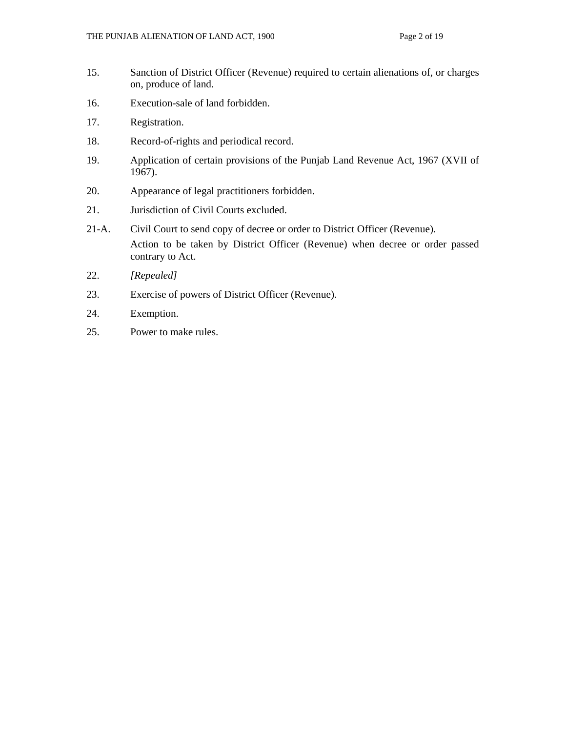- 15. Sanction of District Officer (Revenue) required to certain alienations of, or charges on, produce of land.
- 16. Execution-sale of land forbidden.
- 17. Registration.
- 18. Record-of-rights and periodical record.
- 19. Application of certain provisions of the Punjab Land Revenue Act, 1967 (XVII of 1967).
- 20. Appearance of legal practitioners forbidden.
- 21. Jurisdiction of Civil Courts excluded.
- 21-A. Civil Court to send copy of decree or order to District Officer (Revenue). Action to be taken by District Officer (Revenue) when decree or order passed contrary to Act.
- 22. *[Repealed]*
- 23. Exercise of powers of District Officer (Revenue).
- 24. Exemption.
- 25. Power to make rules.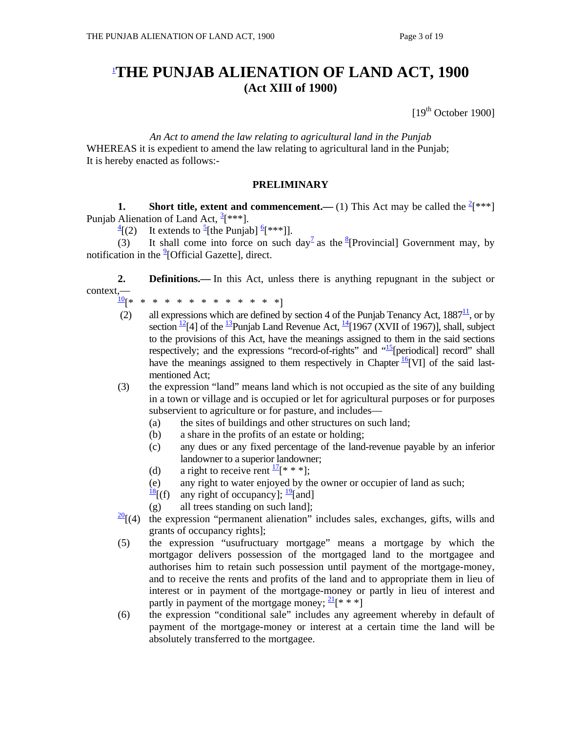# 1 **THE PUNJAB ALIENATION OF LAND ACT, 1900 (Act XIII of 1900)**

 $[19<sup>th</sup> October 1900]$ 

*An Act to amend the law relating to agricultural land in the Punjab* WHEREAS it is expedient to amend the law relating to agricultural land in the Punjab; It is hereby enacted as follows:-

### **PRELIMINARY**

**1.** Short title, extent and commencement.—(1) This Act may be called the  $\frac{2}{3}$ <sup>\*\*</sup>] Punjab Alienation of Land Act,  $\frac{3}{5}$ [\*\*\*].

 $\frac{4}{2}$ [(2) [(2) It extends to  $\frac{5}{2}$ [the Punjab]  $\frac{6}{2}$ [\*\*\*]].

(3) It shall come into force on such day<sup>7</sup> as the <sup>8</sup>[Provincial] Government may, by notification in the <sup>9</sup>[Official Gazette], direct.

**2. Definitions.**—In this Act, unless there is anything repugnant in the subject or context,—

- 10[\* \* \* \* \* \* \* \* \* \* \* \* \*]
- (2) all expressions which are defined by section 4 of the Punjab Tenancy Act,  $1887<sup>11</sup>$ , or by section  $^{12}$ [4] of the  $^{13}$ Punjab Land Revenue Act,  $^{14}$ [1967 (XVII of 1967)], shall, subject to the provisions of this Act, have the meanings assigned to them in the said sections respectively; and the expressions "record-of-rights" and  $\frac{15}{12}$ [periodical] record" shall have the meanings assigned to them respectively in Chapter  $\frac{16}{6}$ [VI] of the said lastmentioned Act;
- (3) the expression "land" means land which is not occupied as the site of any building in a town or village and is occupied or let for agricultural purposes or for purposes subservient to agriculture or for pasture, and includes—
	- (a) the sites of buildings and other structures on such land;
	- (b) a share in the profits of an estate or holding;
	- (c) any dues or any fixed percentage of the land-revenue payable by an inferior landowner to a superior landowner;
	- (d) a right to receive rent  $\frac{17}{8}$  \* \* 1;
	- (e) any right to water enjoyed by the owner or occupier of land as such;
	- $\frac{18}{16}$ [(f) any right of occupancy];  $\frac{19}{2}$ [and]
	- (g) all trees standing on such land];
- $\frac{20}{1}$ [(4) the expression "permanent alienation" includes sales, exchanges, gifts, wills and grants of occupancy rights];
- (5) the expression "usufructuary mortgage" means a mortgage by which the mortgagor delivers possession of the mortgaged land to the mortgagee and authorises him to retain such possession until payment of the mortgage-money, and to receive the rents and profits of the land and to appropriate them in lieu of interest or in payment of the mortgage-money or partly in lieu of interest and partly in payment of the mortgage money;  $2\frac{1}{8}$  \* \* \*]
- (6) the expression "conditional sale" includes any agreement whereby in default of payment of the mortgage-money or interest at a certain time the land will be absolutely transferred to the mortgagee.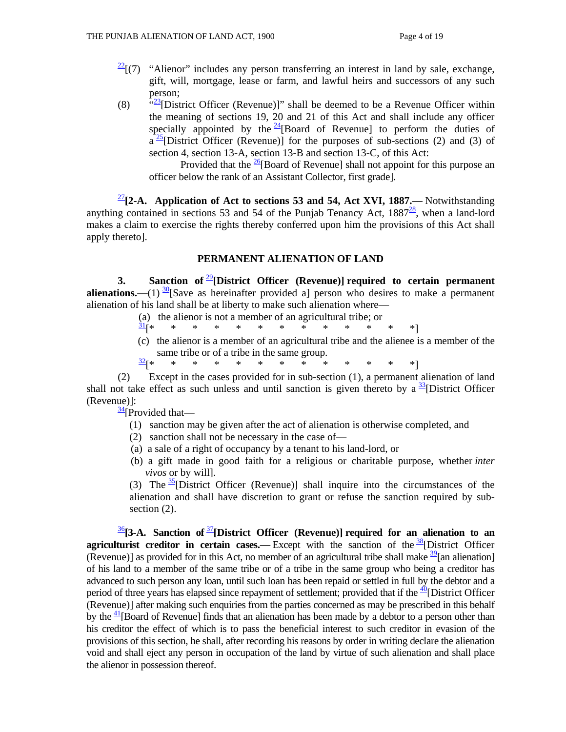- $\frac{22}{17}$  "Alienor" includes any person transferring an interest in land by sale, exchange, gift, will, mortgage, lease or farm, and lawful heirs and successors of any such person;
- (8)  $\frac{a_{23}}{2}$ [District Officer (Revenue)]" shall be deemed to be a Revenue Officer within the meaning of sections 19, 20 and 21 of this Act and shall include any officer specially appointed by the  $\frac{24}{9}$ [Board of Revenue] to perform the duties of  $a^{25}$ [District Officer (Revenue)] for the purposes of sub-sections (2) and (3) of section 4, section 13-A, section 13-B and section 13-C, of this Act:

Provided that the  $\frac{26}{6}$ [Board of Revenue] shall not appoint for this purpose an officer below the rank of an Assistant Collector, first grade].

<sup>27</sup>**[2-A. Application of Act to sections 53 and 54, Act XVI, 1887.—** Notwithstanding anything contained in sections 53 and 54 of the Punjab Tenancy Act,  $1887<sup>28</sup>$ , when a land-lord makes a claim to exercise the rights thereby conferred upon him the provisions of this Act shall apply thereto].

### **PERMANENT ALIENATION OF LAND**

 **3. Sanction of** <sup>29</sup>**[District Officer (Revenue)] required to certain permanent alienations.**—(1)  $\frac{30}{30}$ [Save as hereinafter provided a] person who desires to make a permanent alienation of his land shall be at liberty to make such alienation where—

 (a) the alienor is not a member of an agricultural tribe; or 31 **\*** \* \* \* \* \* \* \* \* \* \* \* \* \* \* (c) the alienor is a member of an agricultural tribe and the alienee is a member of the same tribe or of a tribe in the same group. 32[\* \* \* \* \* \* \* \* \* \* \* \* \*]

 (2) Except in the cases provided for in sub-section (1), a permanent alienation of land shall not take effect as such unless and until sanction is given thereto by a  $\frac{33}{3}$ [District Officer (Revenue)]:

 $\frac{34}{1}$ [Provided that—

- (1) sanction may be given after the act of alienation is otherwise completed, and
- (2) sanction shall not be necessary in the case of—
- (a) a sale of a right of occupancy by a tenant to his land-lord, or
- (b) a gift made in good faith for a religious or charitable purpose, whether *inter vivos* or by will].

(3) The  $35$ [District Officer (Revenue)] shall inquire into the circumstances of the alienation and shall have discretion to grant or refuse the sanction required by subsection  $(2)$ .

<sup>36</sup>**[3-A. Sanction of** <sup>37</sup>**[District Officer (Revenue)] required for an alienation to an agriculturist creditor in certain cases.—** Except with the sanction of the <sup>38</sup>[District Officer (Revenue)] as provided for in this Act, no member of an agricultural tribe shall make  $\frac{39}{2}$ [an alienation] of his land to a member of the same tribe or of a tribe in the same group who being a creditor has advanced to such person any loan, until such loan has been repaid or settled in full by the debtor and a period of three years has elapsed since repayment of settlement; provided that if the  $\frac{40}{10}$ [District Officer (Revenue)] after making such enquiries from the parties concerned as may be prescribed in this behalf by the  $\frac{41}{1}$ [Board of Revenue] finds that an alienation has been made by a debtor to a person other than his creditor the effect of which is to pass the beneficial interest to such creditor in evasion of the provisions of this section, he shall, after recording his reasons by order in writing declare the alienation void and shall eject any person in occupation of the land by virtue of such alienation and shall place the alienor in possession thereof.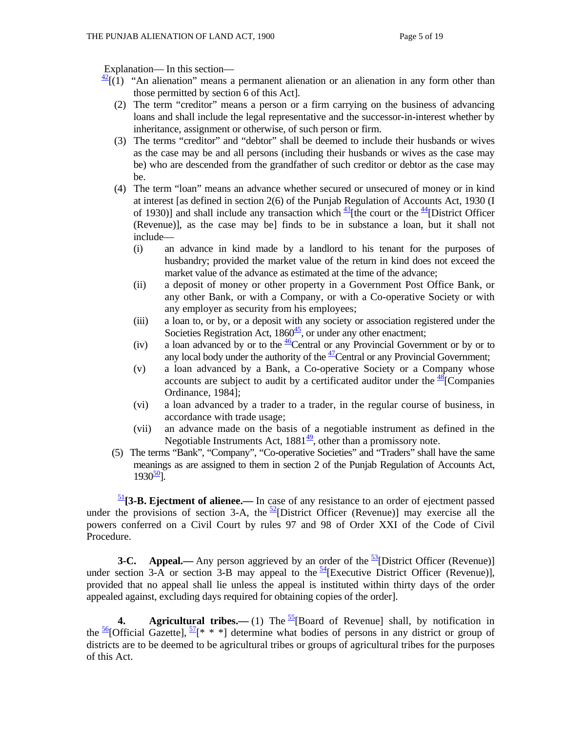Explanation— In this section—

- $\frac{42}{1}$ [(1) "An alienation" means a permanent alienation or an alienation in any form other than those permitted by section 6 of this Act].
	- (2) The term "creditor" means a person or a firm carrying on the business of advancing loans and shall include the legal representative and the successor-in-interest whether by inheritance, assignment or otherwise, of such person or firm.
	- (3) The terms "creditor" and "debtor" shall be deemed to include their husbands or wives as the case may be and all persons (including their husbands or wives as the case may be) who are descended from the grandfather of such creditor or debtor as the case may be.
	- (4) The term "loan" means an advance whether secured or unsecured of money or in kind at interest [as defined in section 2(6) of the Punjab Regulation of Accounts Act, 1930 (I of 1930)] and shall include any transaction which  $\frac{43}{5}$ [the court or the  $\frac{44}{5}$ [District Officer (Revenue)], as the case may be] finds to be in substance a loan, but it shall not include—
		- (i) an advance in kind made by a landlord to his tenant for the purposes of husbandry; provided the market value of the return in kind does not exceed the market value of the advance as estimated at the time of the advance;
		- (ii) a deposit of money or other property in a Government Post Office Bank, or any other Bank, or with a Company, or with a Co-operative Society or with any employer as security from his employees;
		- (iii) a loan to, or by, or a deposit with any society or association registered under the Societies Registration Act,  $1860<sup>45</sup>$ , or under any other enactment;
		- (iv) a loan advanced by or to the  $\frac{46}{6}$ Central or any Provincial Government or by or to any local body under the authority of the  $\frac{47}{2}$ Central or any Provincial Government;
		- (v) a loan advanced by a Bank, a Co-operative Society or a Company whose accounts are subject to audit by a certificated auditor under the  $48$ [Companies Ordinance, 1984];
		- (vi) a loan advanced by a trader to a trader, in the regular course of business, in accordance with trade usage;
		- (vii) an advance made on the basis of a negotiable instrument as defined in the Negotiable Instruments Act,  $1881\frac{49}{12}$ , other than a promissory note.
	- (5) The terms "Bank", "Company", "Co-operative Societies" and "Traders" shall have the same meanings as are assigned to them in section 2 of the Punjab Regulation of Accounts Act,  $1930^{50}$ ].

<sup>51</sup>**[3-B. Ejectment of alienee.—** In case of any resistance to an order of ejectment passed under the provisions of section 3-A, the  $\frac{52}{2}$ [District Officer (Revenue)] may exercise all the powers conferred on a Civil Court by rules 97 and 98 of Order XXI of the Code of Civil Procedure.

**3-C.** Appeal.— Any person aggrieved by an order of the  $\frac{53}{2}$ [District Officer (Revenue)] under section 3-A or section 3-B may appeal to the  $\frac{54}{4}$ [Executive District Officer (Revenue)], provided that no appeal shall lie unless the appeal is instituted within thirty days of the order appealed against, excluding days required for obtaining copies of the order].

**4.** Agricultural tribes.—(1) The  $\frac{55}{5}$ [Board of Revenue] shall, by notification in the  $\frac{56}{6}$ [Official Gazette],  $\frac{57}{8}$  \* \* | determine what bodies of persons in any district or group of districts are to be deemed to be agricultural tribes or groups of agricultural tribes for the purposes of this Act.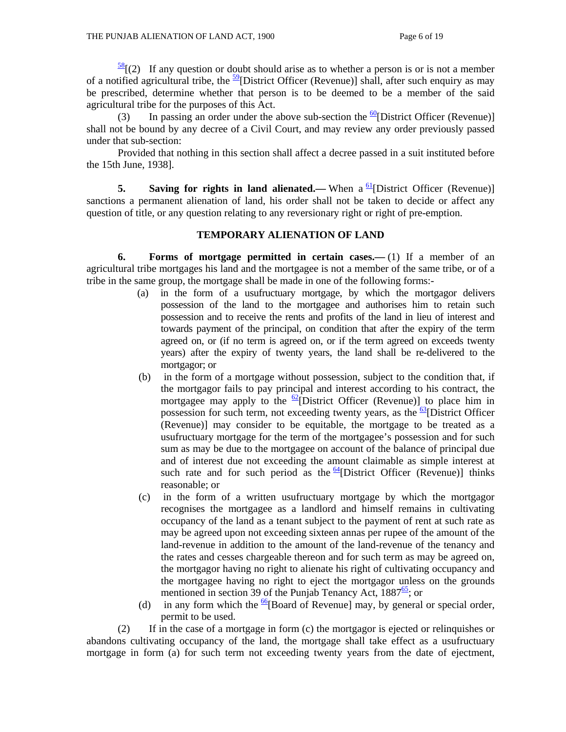$\frac{58}{2}$ [(2) If any question or doubt should arise as to whether a person is or is not a member of a notified agricultural tribe, the  $\frac{59}{9}$ [District Officer (Revenue)] shall, after such enquiry as may be prescribed, determine whether that person is to be deemed to be a member of the said agricultural tribe for the purposes of this Act.

(3) In passing an order under the above sub-section the  $\frac{60}{60}$ [District Officer (Revenue)] shall not be bound by any decree of a Civil Court, and may review any order previously passed under that sub-section:

 Provided that nothing in this section shall affect a decree passed in a suit instituted before the 15th June, 1938].

**5.** Saving for rights in land alienated.— When a  $\frac{61}{2}$ [District Officer (Revenue)] sanctions a permanent alienation of land, his order shall not be taken to decide or affect any question of title, or any question relating to any reversionary right or right of pre-emption.

#### **TEMPORARY ALIENATION OF LAND**

 **6. Forms of mortgage permitted in certain cases.—** (1) If a member of an agricultural tribe mortgages his land and the mortgagee is not a member of the same tribe, or of a tribe in the same group, the mortgage shall be made in one of the following forms:-

- (a) in the form of a usufructuary mortgage, by which the mortgagor delivers possession of the land to the mortgagee and authorises him to retain such possession and to receive the rents and profits of the land in lieu of interest and towards payment of the principal, on condition that after the expiry of the term agreed on, or (if no term is agreed on, or if the term agreed on exceeds twenty years) after the expiry of twenty years, the land shall be re-delivered to the mortgagor; or
- (b) in the form of a mortgage without possession, subject to the condition that, if the mortgagor fails to pay principal and interest according to his contract, the mortgagee may apply to the  $\frac{62}{2}$ [District Officer (Revenue)] to place him in possession for such term, not exceeding twenty years, as the  $\frac{63}{2}$ [District Officer (Revenue)] may consider to be equitable, the mortgage to be treated as a usufructuary mortgage for the term of the mortgagee's possession and for such sum as may be due to the mortgagee on account of the balance of principal due and of interest due not exceeding the amount claimable as simple interest at such rate and for such period as the  $64$ [District Officer (Revenue)] thinks reasonable; or
- (c) in the form of a written usufructuary mortgage by which the mortgagor recognises the mortgagee as a landlord and himself remains in cultivating occupancy of the land as a tenant subject to the payment of rent at such rate as may be agreed upon not exceeding sixteen annas per rupee of the amount of the land-revenue in addition to the amount of the land-revenue of the tenancy and the rates and cesses chargeable thereon and for such term as may be agreed on, the mortgagor having no right to alienate his right of cultivating occupancy and the mortgagee having no right to eject the mortgagor unless on the grounds mentioned in section 39 of the Punjab Tenancy Act,  $1887\frac{65}{6}$ ; or
- (d) in any form which the  $\frac{66}{6}$ [Board of Revenue] may, by general or special order, permit to be used.

 (2) If in the case of a mortgage in form (c) the mortgagor is ejected or relinquishes or abandons cultivating occupancy of the land, the mortgage shall take effect as a usufructuary mortgage in form (a) for such term not exceeding twenty years from the date of ejectment,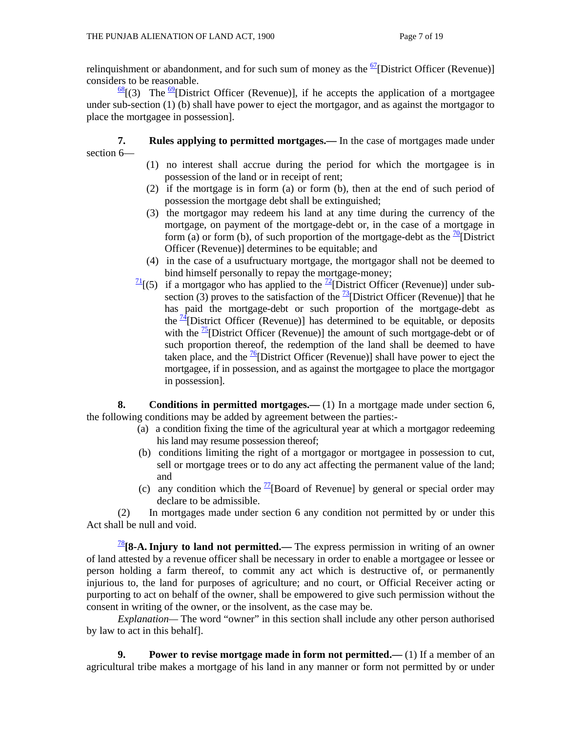relinquishment or abandonment, and for such sum of money as the  $\frac{67}{2}$ [District Officer (Revenue)] considers to be reasonable.

 $\frac{68}{3}$ [(3) The <sup>69</sup>[District Officer (Revenue)], if he accepts the application of a mortgagee under sub-section (1) (b) shall have power to eject the mortgagor, and as against the mortgagor to place the mortgagee in possession].

 **7. Rules applying to permitted mortgages.—** In the case of mortgages made under section 6—

- (1) no interest shall accrue during the period for which the mortgagee is in possession of the land or in receipt of rent;
- (2) if the mortgage is in form (a) or form (b), then at the end of such period of possession the mortgage debt shall be extinguished;
- (3) the mortgagor may redeem his land at any time during the currency of the mortgage, on payment of the mortgage-debt or, in the case of a mortgage in form (a) or form (b), of such proportion of the mortgage-debt as the  $\frac{70}{10}$  District Officer (Revenue)] determines to be equitable; and
- (4) in the case of a usufructuary mortgage, the mortgagor shall not be deemed to bind himself personally to repay the mortgage-money;
- $\frac{71}{1}(5)$  if a mortgagor who has applied to the  $\frac{72}{1}$ [District Officer (Revenue)] under subsection (3) proves to the satisfaction of the  $\frac{73}{2}$ [District Officer (Revenue)] that he has paid the mortgage-debt or such proportion of the mortgage-debt as the  $\frac{74}{12}$ [District Officer (Revenue)] has determined to be equitable, or deposits with the  $\frac{75}{2}$ [District Officer (Revenue)] the amount of such mortgage-debt or of such proportion thereof, the redemption of the land shall be deemed to have taken place, and the  $\frac{76}{6}$ [District Officer (Revenue)] shall have power to eject the mortgagee, if in possession, and as against the mortgagee to place the mortgagor in possession].

**8.** Conditions in permitted mortgages.—(1) In a mortgage made under section 6, the following conditions may be added by agreement between the parties:-

- (a) a condition fixing the time of the agricultural year at which a mortgagor redeeming his land may resume possession thereof;
- (b) conditions limiting the right of a mortgagor or mortgagee in possession to cut, sell or mortgage trees or to do any act affecting the permanent value of the land; and
- (c) any condition which the  $\frac{77}{2}$ [Board of Revenue] by general or special order may declare to be admissible.

 (2) In mortgages made under section 6 any condition not permitted by or under this Act shall be null and void.

<sup>78</sup>**[8-A. Injury to land not permitted.—** The express permission in writing of an owner of land attested by a revenue officer shall be necessary in order to enable a mortgagee or lessee or person holding a farm thereof, to commit any act which is destructive of, or permanently injurious to, the land for purposes of agriculture; and no court, or Official Receiver acting or purporting to act on behalf of the owner, shall be empowered to give such permission without the consent in writing of the owner, or the insolvent, as the case may be.

 *Explanation—* The word "owner" in this section shall include any other person authorised by law to act in this behalf].

**9.** Power to revise mortgage made in form not permitted.—(1) If a member of an agricultural tribe makes a mortgage of his land in any manner or form not permitted by or under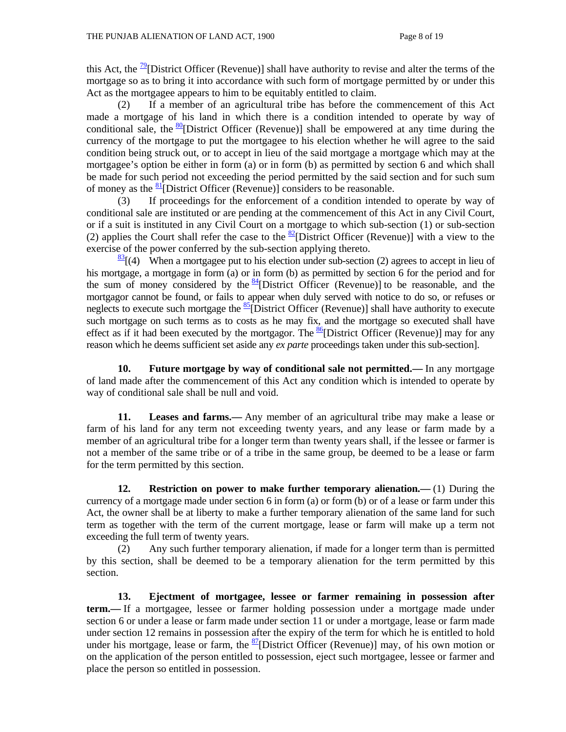this Act, the  $\frac{79}{2}$ [District Officer (Revenue)] shall have authority to revise and alter the terms of the mortgage so as to bring it into accordance with such form of mortgage permitted by or under this Act as the mortgagee appears to him to be equitably entitled to claim.

 (2) If a member of an agricultural tribe has before the commencement of this Act made a mortgage of his land in which there is a condition intended to operate by way of conditional sale, the  $\frac{80}{90}$ [District Officer (Revenue)] shall be empowered at any time during the currency of the mortgage to put the mortgagee to his election whether he will agree to the said condition being struck out, or to accept in lieu of the said mortgage a mortgage which may at the mortgagee's option be either in form (a) or in form (b) as permitted by section 6 and which shall be made for such period not exceeding the period permitted by the said section and for such sum of money as the  $\frac{81}{2}$ [District Officer (Revenue)] considers to be reasonable.

 (3) If proceedings for the enforcement of a condition intended to operate by way of conditional sale are instituted or are pending at the commencement of this Act in any Civil Court, or if a suit is instituted in any Civil Court on a mortgage to which sub-section (1) or sub-section (2) applies the Court shall refer the case to the  $\frac{82}{2}$ [District Officer (Revenue)] with a view to the exercise of the power conferred by the sub-section applying thereto.

 $\frac{83}{3}$  (4) When a mortgagee put to his election under sub-section (2) agrees to accept in lieu of his mortgage, a mortgage in form (a) or in form (b) as permitted by section 6 for the period and for the sum of money considered by the  $\frac{84}{4}$ [District Officer (Revenue)] to be reasonable, and the mortgagor cannot be found, or fails to appear when duly served with notice to do so, or refuses or neglects to execute such mortgage the  $\frac{85}{6}$ [District Officer (Revenue)] shall have authority to execute such mortgage on such terms as to costs as he may fix, and the mortgage so executed shall have effect as if it had been executed by the mortgagor. The  $\frac{86}{6}$ [District Officer (Revenue)] may for any reason which he deems sufficient set aside any *ex parte* proceedings taken under this sub-section].

 **10. Future mortgage by way of conditional sale not permitted.—** In any mortgage of land made after the commencement of this Act any condition which is intended to operate by way of conditional sale shall be null and void.

**11. Leases and farms.—** Any member of an agricultural tribe may make a lease or farm of his land for any term not exceeding twenty years, and any lease or farm made by a member of an agricultural tribe for a longer term than twenty years shall, if the lessee or farmer is not a member of the same tribe or of a tribe in the same group, be deemed to be a lease or farm for the term permitted by this section.

**12. Restriction on power to make further temporary alienation.—** (1) During the currency of a mortgage made under section 6 in form (a) or form (b) or of a lease or farm under this Act, the owner shall be at liberty to make a further temporary alienation of the same land for such term as together with the term of the current mortgage, lease or farm will make up a term not exceeding the full term of twenty years.

 (2) Any such further temporary alienation, if made for a longer term than is permitted by this section, shall be deemed to be a temporary alienation for the term permitted by this section.

 **13. Ejectment of mortgagee, lessee or farmer remaining in possession after term.—** If a mortgagee, lessee or farmer holding possession under a mortgage made under section 6 or under a lease or farm made under section 11 or under a mortgage, lease or farm made under section 12 remains in possession after the expiry of the term for which he is entitled to hold under his mortgage, lease or farm, the  $\frac{87}{2}$ [District Officer (Revenue)] may, of his own motion or on the application of the person entitled to possession, eject such mortgagee, lessee or farmer and place the person so entitled in possession.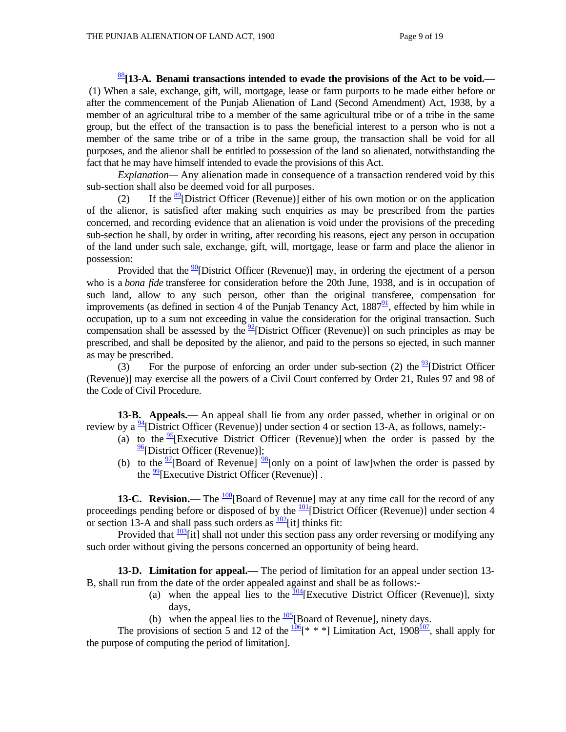<sup>88</sup>**[13-A. Benami transactions intended to evade the provisions of the Act to be void.—** (1) When a sale, exchange, gift, will, mortgage, lease or farm purports to be made either before or after the commencement of the Punjab Alienation of Land (Second Amendment) Act, 1938, by a member of an agricultural tribe to a member of the same agricultural tribe or of a tribe in the same group, but the effect of the transaction is to pass the beneficial interest to a person who is not a member of the same tribe or of a tribe in the same group, the transaction shall be void for all purposes, and the alienor shall be entitled to possession of the land so alienated, notwithstanding the fact that he may have himself intended to evade the provisions of this Act.

 *Explanation—* Any alienation made in consequence of a transaction rendered void by this sub-section shall also be deemed void for all purposes.

(2) If the  $\frac{89}{2}$ [District Officer (Revenue)] either of his own motion or on the application of the alienor, is satisfied after making such enquiries as may be prescribed from the parties concerned, and recording evidence that an alienation is void under the provisions of the preceding sub-section he shall, by order in writing, after recording his reasons, eject any person in occupation of the land under such sale, exchange, gift, will, mortgage, lease or farm and place the alienor in possession:

Provided that the  $\frac{90}{90}$ District Officer (Revenue)] may, in ordering the ejectment of a person who is a *bona fide* transferee for consideration before the 20th June, 1938, and is in occupation of such land, allow to any such person, other than the original transferee, compensation for improvements (as defined in section 4 of the Punjab Tenancy Act,  $1887<sup>91</sup>$ , effected by him while in occupation, up to a sum not exceeding in value the consideration for the original transaction. Such compensation shall be assessed by the  $\frac{92}{2}$ [District Officer (Revenue)] on such principles as may be prescribed, and shall be deposited by the alienor, and paid to the persons so ejected, in such manner as may be prescribed.

(3) For the purpose of enforcing an order under sub-section (2) the  $\frac{93}{9}$ [District Officer (Revenue)] may exercise all the powers of a Civil Court conferred by Order 21, Rules 97 and 98 of the Code of Civil Procedure.

 **13-B. Appeals.—** An appeal shall lie from any order passed, whether in original or on review by a  $\frac{94}{9}$ [District Officer (Revenue)] under section 4 or section 13-A, as follows, namely:-

- (a) to the  $\frac{95}{5}$ [Executive District Officer (Revenue)] when the order is passed by the  $\frac{96}{6}$ [District Officer (Revenue)];
- (b) to the  $\frac{97}{2}$ [Board of Revenue]  $\frac{98}{8}$ [only on a point of law]when the order is passed by the  $\frac{99}{2}$ [Executive District Officer (Revenue)].

**13-C. Revision.—** The <sup>100</sup>[Board of Revenue] may at any time call for the record of any proceedings pending before or disposed of by the  $\frac{101}{2}$ [District Officer (Revenue)] under section 4 or section 13-A and shall pass such orders as  $\frac{102}{2}$ [it] thinks fit:

Provided that  $\frac{103}{1}$  it] shall not under this section pass any order reversing or modifying any such order without giving the persons concerned an opportunity of being heard.

**13-D. Limitation for appeal.—** The period of limitation for an appeal under section 13- B, shall run from the date of the order appealed against and shall be as follows:-

- (a) when the appeal lies to the  $\frac{104}{4}$ [Executive District Officer (Revenue)], sixty days,
- (b) when the appeal lies to the  $\frac{105}{100}$ [Board of Revenue], ninety days.

The provisions of section 5 and 12 of the  $\frac{106}{8}$ <sup>\*</sup> \* ] Limitation Act, 1908<sup>107</sup>, shall apply for the purpose of computing the period of limitation].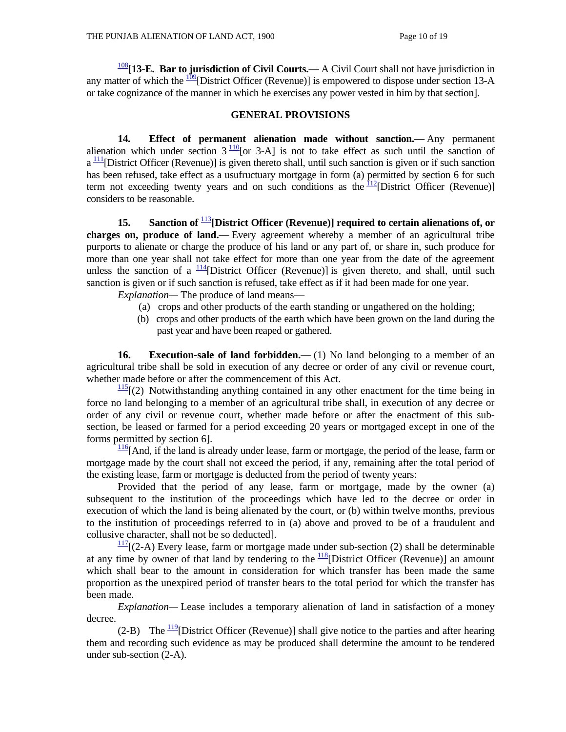<sup>108</sup>**[13-E. Bar to jurisdiction of Civil Courts.—** A Civil Court shall not have jurisdiction in any matter of which the  $\frac{109}{2}$ [District Officer (Revenue)] is empowered to dispose under section 13-A or take cognizance of the manner in which he exercises any power vested in him by that section].

#### **GENERAL PROVISIONS**

 **14. Effect of permanent alienation made without sanction.—** Any permanent alienation which under section  $3\frac{110}{10}$  [or 3-A] is not to take effect as such until the sanction of  $a<sup>111</sup>$ [District Officer (Revenue)] is given thereto shall, until such sanction is given or if such sanction has been refused, take effect as a usufructuary mortgage in form (a) permitted by section 6 for such term not exceeding twenty years and on such conditions as the  $\frac{112}{12}$ [District Officer (Revenue)] considers to be reasonable.

 **15. Sanction of** <sup>113</sup>**[District Officer (Revenue)] required to certain alienations of, or charges on, produce of land.—** Every agreement whereby a member of an agricultural tribe purports to alienate or charge the produce of his land or any part of, or share in, such produce for more than one year shall not take effect for more than one year from the date of the agreement unless the sanction of a  $\frac{114}{2}$ [District Officer (Revenue)] is given thereto, and shall, until such sanction is given or if such sanction is refused, take effect as if it had been made for one year.

 *Explanation—* The produce of land means—

- (a) crops and other products of the earth standing or ungathered on the holding;
- (b) crops and other products of the earth which have been grown on the land during the past year and have been reaped or gathered.

**16.** Execution-sale of land forbidden.—(1) No land belonging to a member of an agricultural tribe shall be sold in execution of any decree or order of any civil or revenue court, whether made before or after the commencement of this Act.

 $\frac{115}{115}$  (2) Notwithstanding anything contained in any other enactment for the time being in force no land belonging to a member of an agricultural tribe shall, in execution of any decree or order of any civil or revenue court, whether made before or after the enactment of this subsection, be leased or farmed for a period exceeding 20 years or mortgaged except in one of the forms permitted by section 6].

 $\frac{116}{116}$ [And, if the land is already under lease, farm or mortgage, the period of the lease, farm or mortgage made by the court shall not exceed the period, if any, remaining after the total period of the existing lease, farm or mortgage is deducted from the period of twenty years:

 Provided that the period of any lease, farm or mortgage, made by the owner (a) subsequent to the institution of the proceedings which have led to the decree or order in execution of which the land is being alienated by the court, or (b) within twelve months, previous to the institution of proceedings referred to in (a) above and proved to be of a fraudulent and collusive character, shall not be so deducted].

 $\frac{117}{2}$ [(2-A) Every lease, farm or mortgage made under sub-section (2) shall be determinable at any time by owner of that land by tendering to the  $\frac{118}{12}$ [District Officer (Revenue)] an amount which shall bear to the amount in consideration for which transfer has been made the same proportion as the unexpired period of transfer bears to the total period for which the transfer has been made.

 *Explanation—* Lease includes a temporary alienation of land in satisfaction of a money decree.

(2-B) The  $\frac{119}{2}$ [District Officer (Revenue)] shall give notice to the parties and after hearing them and recording such evidence as may be produced shall determine the amount to be tendered under sub-section (2-A).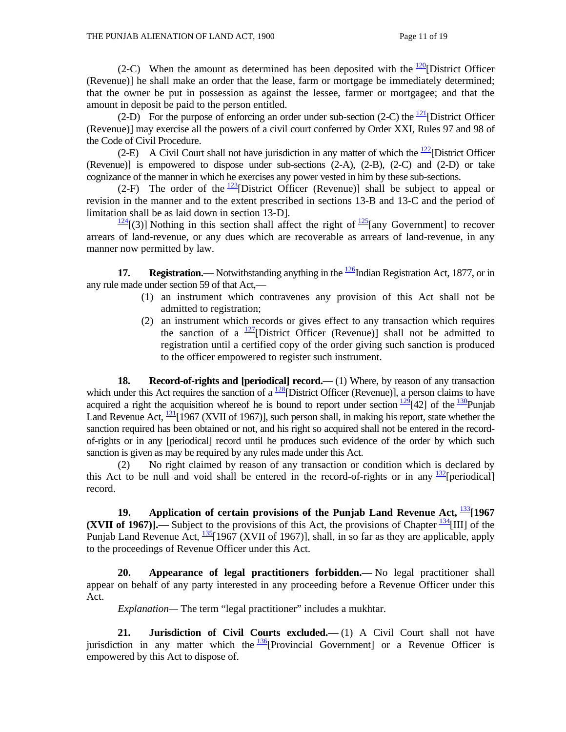(2-C) When the amount as determined has been deposited with the  $\frac{120}{2}$ [District Officer] (Revenue)] he shall make an order that the lease, farm or mortgage be immediately determined; that the owner be put in possession as against the lessee, farmer or mortgagee; and that the amount in deposit be paid to the person entitled.

(2-D) For the purpose of enforcing an order under sub-section (2-C) the  $\frac{121}{21}$ [District Officer (Revenue)] may exercise all the powers of a civil court conferred by Order XXI, Rules 97 and 98 of the Code of Civil Procedure.

(2-E) A Civil Court shall not have jurisdiction in any matter of which the  $\frac{122}{2}$ [District Officer (Revenue)] is empowered to dispose under sub-sections (2-A), (2-B), (2-C) and (2-D) or take cognizance of the manner in which he exercises any power vested in him by these sub-sections.

(2-F) The order of the  $\frac{123}{2}$ [District Officer (Revenue)] shall be subject to appeal or revision in the manner and to the extent prescribed in sections 13-B and 13-C and the period of limitation shall be as laid down in section 13-D].

 $\frac{124}{2}$ [(3)] Nothing in this section shall affect the right of  $\frac{125}{2}$ [any Government] to recover arrears of land-revenue, or any dues which are recoverable as arrears of land-revenue, in any manner now permitted by law.

**17. Registration.**—— Notwithstanding anything in the  $\frac{126}{100}$ Indian Registration Act, 1877, or in any rule made under section 59 of that Act,—

- (1) an instrument which contravenes any provision of this Act shall not be admitted to registration;
- (2) an instrument which records or gives effect to any transaction which requires the sanction of a  $\frac{127}{2}$ [District Officer (Revenue)] shall not be admitted to registration until a certified copy of the order giving such sanction is produced to the officer empowered to register such instrument.

**18.** Record-of-rights and [periodical] record.—(1) Where, by reason of any transaction which under this Act requires the sanction of a  $\frac{128}{2}$ [District Officer (Revenue)], a person claims to have acquired a right the acquisition whereof he is bound to report under section  $\frac{129}{42}$ [42] of the  $\frac{130}{2}$ Punjab Land Revenue Act,  $\frac{131}{1967}$  (XVII of 1967)], such person shall, in making his report, state whether the sanction required has been obtained or not, and his right so acquired shall not be entered in the recordof-rights or in any [periodical] record until he produces such evidence of the order by which such sanction is given as may be required by any rules made under this Act.

 (2) No right claimed by reason of any transaction or condition which is declared by this Act to be null and void shall be entered in the record-of-rights or in any  $\frac{132}{2}$ [periodical] record.

19. Application of certain provisions of the Punjab Land Revenue Act,  $\frac{133}{120}$ [1967 **(XVII of 1967)].**— Subject to the provisions of this Act, the provisions of Chapter  $\frac{134}{1111}$  of the Punjab Land Revenue Act,  $\frac{135}{1967}$  (XVII of 1967)], shall, in so far as they are applicable, apply to the proceedings of Revenue Officer under this Act.

 **20. Appearance of legal practitioners forbidden.—** No legal practitioner shall appear on behalf of any party interested in any proceeding before a Revenue Officer under this Act.

 *Explanation—* The term "legal practitioner" includes a mukhtar.

**21.** Jurisdiction of Civil Courts excluded.—(1) A Civil Court shall not have jurisdiction in any matter which the  $\frac{136}{2}$ [Provincial Government] or a Revenue Officer is empowered by this Act to dispose of.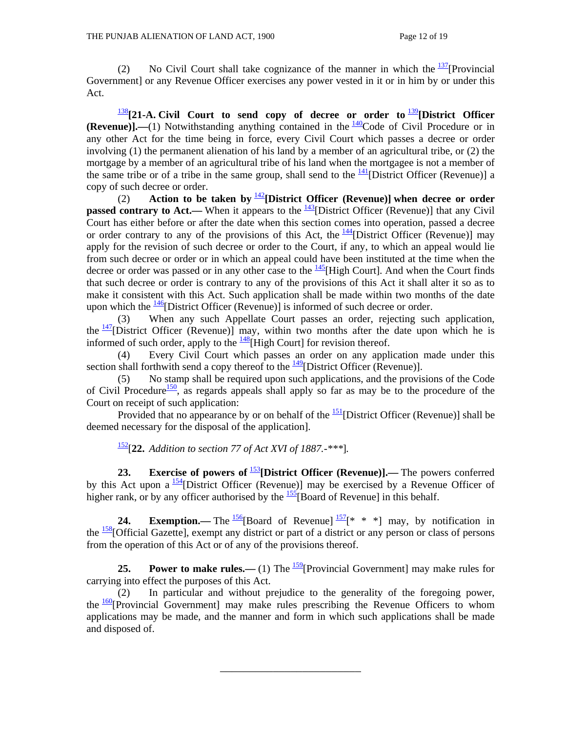(2) No Civil Court shall take cognizance of the manner in which the  $\frac{137}{2}$ [Provincial] Government] or any Revenue Officer exercises any power vested in it or in him by or under this Act.

<sup>138</sup>**[21-A. Civil Court to send copy of decree or order to** <sup>139</sup>**[District Officer (Revenue)].—(1)** Notwithstanding anything contained in the  $\frac{140}{40}$ Code of Civil Procedure or in any other Act for the time being in force, every Civil Court which passes a decree or order involving (1) the permanent alienation of his land by a member of an agricultural tribe, or (2) the mortgage by a member of an agricultural tribe of his land when the mortgagee is not a member of the same tribe or of a tribe in the same group, shall send to the  $\frac{141}{2}$ [District Officer (Revenue)] a copy of such decree or order.

 (2) **Action to be taken by** <sup>142</sup>**[District Officer (Revenue)] when decree or order passed contrary to Act.—** When it appears to the <sup>143</sup>[District Officer (Revenue)] that any Civil Court has either before or after the date when this section comes into operation, passed a decree or order contrary to any of the provisions of this Act, the  $\frac{144}{12}$ District Officer (Revenue)] may apply for the revision of such decree or order to the Court, if any, to which an appeal would lie from such decree or order or in which an appeal could have been instituted at the time when the decree or order was passed or in any other case to the  $\frac{145}{145}$ [High Court]. And when the Court finds that such decree or order is contrary to any of the provisions of this Act it shall alter it so as to make it consistent with this Act. Such application shall be made within two months of the date upon which the  $\frac{146}{9}$ [District Officer (Revenue)] is informed of such decree or order.

 (3) When any such Appellate Court passes an order, rejecting such application, the  $\frac{147}{2}$ [District Officer (Revenue)] may, within two months after the date upon which he is informed of such order, apply to the  $\frac{148}{148}$ [High Court] for revision thereof.

 (4) Every Civil Court which passes an order on any application made under this section shall forthwith send a copy thereof to the  $\frac{149}{2}$ [District Officer (Revenue)].

 (5) No stamp shall be required upon such applications, and the provisions of the Code of Civil Procedure<sup>150</sup>, as regards appeals shall apply so far as may be to the procedure of the Court on receipt of such application:

Provided that no appearance by or on behalf of the  $\frac{151}{2}$ [District Officer (Revenue)] shall be deemed necessary for the disposal of the application].

152[**22.** *Addition to section 77 of Act XVI of 1887.-\*\*\**]*.*

**23.** Exercise of powers of  $\frac{153}{2}$ [District Officer (Revenue)].— The powers conferred by this Act upon a  $\frac{154}{12}$ [District Officer (Revenue)] may be exercised by a Revenue Officer of higher rank, or by any officer authorised by the  $\frac{155}{15}$ [Board of Revenue] in this behalf.

**24. Exemption.—** The  $\frac{156}{6}$ [Board of Revenue]  $\frac{157}{8}$ <sup>\*</sup> \* \*] may, by notification in the <sup>158</sup>[Official Gazette], exempt any district or part of a district or any person or class of persons from the operation of this Act or of any of the provisions thereof.

**25. Power to make rules.**—(1) The  $\frac{159}{2}$ [Provincial Government] may make rules for carrying into effect the purposes of this Act.

 (2) In particular and without prejudice to the generality of the foregoing power, the  $\frac{160}{2}$ [Provincial Government] may make rules prescribing the Revenue Officers to whom applications may be made, and the manner and form in which such applications shall be made and disposed of.

\_\_\_\_\_\_\_\_\_\_\_\_\_\_\_\_\_\_\_\_\_\_\_\_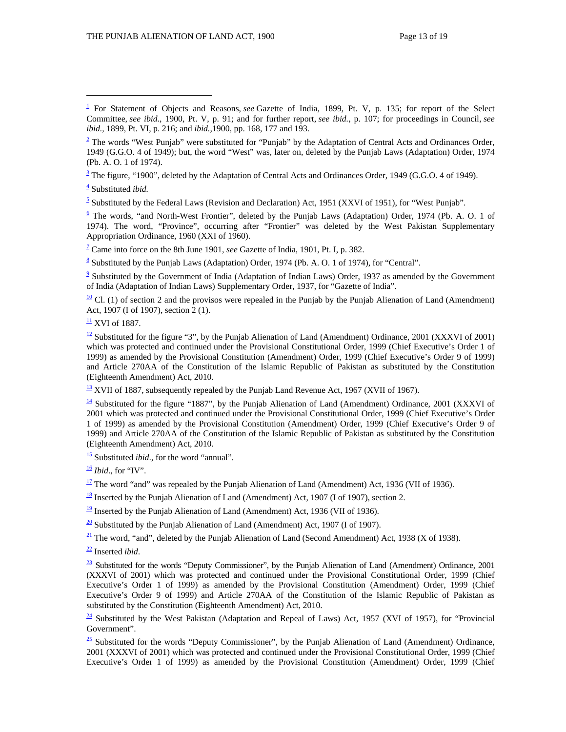$\frac{3}{2}$  The figure, "1900", deleted by the Adaptation of Central Acts and Ordinances Order, 1949 (G.G.O. 4 of 1949).

4 Substituted *ibid.*

 $\overline{a}$ 

 $\frac{5}{5}$  Substituted by the Federal Laws (Revision and Declaration) Act, 1951 (XXVI of 1951), for "West Punjab".

 $\frac{6}{2}$  The words, "and North-West Frontier", deleted by the Punjab Laws (Adaptation) Order, 1974 (Pb. A. O. 1 of 1974). The word, "Province", occurring after "Frontier" was deleted by the West Pakistan Supplementary Appropriation Ordinance, 1960 (XXI of 1960).

7 Came into force on the 8th June 1901, *see* Gazette of India, 1901, Pt. I, p. 382.

<sup>8</sup> Substituted by the Punjab Laws (Adaptation) Order, 1974 (Pb. A. O. 1 of 1974), for "Central".

 $\frac{9}{2}$  Substituted by the Government of India (Adaptation of Indian Laws) Order, 1937 as amended by the Government of India (Adaptation of Indian Laws) Supplementary Order, 1937, for "Gazette of India".

 $\frac{10}{10}$  Cl. (1) of section 2 and the provisos were repealed in the Punjab by the Punjab Alienation of Land (Amendment) Act, 1907 (I of 1907), section  $2(1)$ .

 $\frac{11}{11}$  XVI of 1887.

 $\frac{12}{2}$  Substituted for the figure "3", by the Punjab Alienation of Land (Amendment) Ordinance, 2001 (XXXVI of 2001) which was protected and continued under the Provisional Constitutional Order, 1999 (Chief Executive's Order 1 of 1999) as amended by the Provisional Constitution (Amendment) Order, 1999 (Chief Executive's Order 9 of 1999) and Article 270AA of the Constitution of the Islamic Republic of Pakistan as substituted by the Constitution (Eighteenth Amendment) Act, 2010.

 $\frac{13}{2}$  XVII of 1887, subsequently repealed by the Punjab Land Revenue Act, 1967 (XVII of 1967).

 $\frac{14}{14}$  Substituted for the figure "1887", by the Punjab Alienation of Land (Amendment) Ordinance, 2001 (XXXVI of 2001 which was protected and continued under the Provisional Constitutional Order, 1999 (Chief Executive's Order 1 of 1999) as amended by the Provisional Constitution (Amendment) Order, 1999 (Chief Executive's Order 9 of 1999) and Article 270AA of the Constitution of the Islamic Republic of Pakistan as substituted by the Constitution (Eighteenth Amendment) Act, 2010.

15 Substituted *ibid*., for the word "annual".

 $\frac{16}{16}$  *Ibid.*, for "IV".

 $\frac{17}{2}$  The word "and" was repealed by the Punjab Alienation of Land (Amendment) Act, 1936 (VII of 1936).

 $\frac{18}{18}$  Inserted by the Punjab Alienation of Land (Amendment) Act, 1907 (I of 1907), section 2.

 $\frac{19}{2}$  Inserted by the Punjab Alienation of Land (Amendment) Act, 1936 (VII of 1936).

 $\frac{20}{20}$  Substituted by the Punjab Alienation of Land (Amendment) Act, 1907 (I of 1907).

 $\frac{21}{21}$  The word, "and", deleted by the Punjab Alienation of Land (Second Amendment) Act, 1938 (X of 1938).

22 Inserted *ibid*.

 $\frac{23}{21}$  Substituted for the words "Deputy Commissioner", by the Punjab Alienation of Land (Amendment) Ordinance, 2001 (XXXVI of 2001) which was protected and continued under the Provisional Constitutional Order, 1999 (Chief Executive's Order 1 of 1999) as amended by the Provisional Constitution (Amendment) Order, 1999 (Chief Executive's Order 9 of 1999) and Article 270AA of the Constitution of the Islamic Republic of Pakistan as substituted by the Constitution (Eighteenth Amendment) Act, 2010.

 $\frac{24}{24}$  Substituted by the West Pakistan (Adaptation and Repeal of Laws) Act, 1957 (XVI of 1957), for "Provincial Government".

 $\frac{25}{25}$  Substituted for the words "Deputy Commissioner", by the Punjab Alienation of Land (Amendment) Ordinance, 2001 (XXXVI of 2001) which was protected and continued under the Provisional Constitutional Order, 1999 (Chief Executive's Order 1 of 1999) as amended by the Provisional Constitution (Amendment) Order, 1999 (Chief

<sup>&</sup>lt;sup>1</sup> For Statement of Objects and Reasons, *see* Gazette of India, 1899, Pt. V, p. 135; for report of the Select Committee, *see ibid.*, 1900, Pt. V, p. 91; and for further report, *see ibid.*, p. 107; for proceedings in Council, *see ibid.,* 1899, Pt. VI, p. 216; and *ibid.,*1900, pp. 168, 177 and 193.

 $\frac{2}{3}$  The words "West Punjab" were substituted for "Punjab" by the Adaptation of Central Acts and Ordinances Order, 1949 (G.G.O. 4 of 1949); but, the word "West" was, later on, deleted by the Punjab Laws (Adaptation) Order, 1974 (Pb. A. O. 1 of 1974).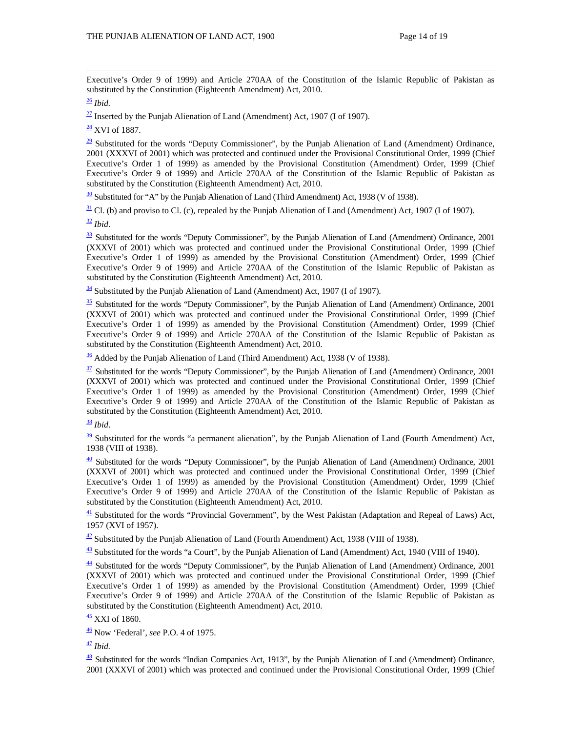Executive's Order 9 of 1999) and Article 270AA of the Constitution of the Islamic Republic of Pakistan as substituted by the Constitution (Eighteenth Amendment) Act, 2010.

#### <sup>26</sup> *Ibid.*

 $\frac{27}{27}$  Inserted by the Punjab Alienation of Land (Amendment) Act, 1907 (I of 1907).

 $\frac{28}{2}$  XVI of 1887.

 $\frac{29}{22}$  Substituted for the words "Deputy Commissioner", by the Punjab Alienation of Land (Amendment) Ordinance, 2001 (XXXVI of 2001) which was protected and continued under the Provisional Constitutional Order, 1999 (Chief Executive's Order 1 of 1999) as amended by the Provisional Constitution (Amendment) Order, 1999 (Chief Executive's Order 9 of 1999) and Article 270AA of the Constitution of the Islamic Republic of Pakistan as substituted by the Constitution (Eighteenth Amendment) Act, 2010.

 $\frac{30}{20}$  Substituted for "A" by the Punjab Alienation of Land (Third Amendment) Act, 1938 (V of 1938).

 $\frac{31}{2}$  Cl. (b) and proviso to Cl. (c), repealed by the Punjab Alienation of Land (Amendment) Act, 1907 (I of 1907).

 $\frac{32}{ }$  *Ibid*.

 $\frac{33}{23}$  Substituted for the words "Deputy Commissioner", by the Punjab Alienation of Land (Amendment) Ordinance, 2001 (XXXVI of 2001) which was protected and continued under the Provisional Constitutional Order, 1999 (Chief Executive's Order 1 of 1999) as amended by the Provisional Constitution (Amendment) Order, 1999 (Chief Executive's Order 9 of 1999) and Article 270AA of the Constitution of the Islamic Republic of Pakistan as substituted by the Constitution (Eighteenth Amendment) Act, 2010.

<sup>34</sup> Substituted by the Punjab Alienation of Land (Amendment) Act, 1907 (I of 1907).

 $\frac{35}{25}$  Substituted for the words "Deputy Commissioner", by the Punjab Alienation of Land (Amendment) Ordinance, 2001 (XXXVI of 2001) which was protected and continued under the Provisional Constitutional Order, 1999 (Chief Executive's Order 1 of 1999) as amended by the Provisional Constitution (Amendment) Order, 1999 (Chief Executive's Order 9 of 1999) and Article 270AA of the Constitution of the Islamic Republic of Pakistan as substituted by the Constitution (Eighteenth Amendment) Act, 2010.

 $\frac{36}{10}$  Added by the Punjab Alienation of Land (Third Amendment) Act, 1938 (V of 1938).

 $\frac{37}{2}$  Substituted for the words "Deputy Commissioner", by the Punjab Alienation of Land (Amendment) Ordinance, 2001 (XXXVI of 2001) which was protected and continued under the Provisional Constitutional Order, 1999 (Chief Executive's Order 1 of 1999) as amended by the Provisional Constitution (Amendment) Order, 1999 (Chief Executive's Order 9 of 1999) and Article 270AA of the Constitution of the Islamic Republic of Pakistan as substituted by the Constitution (Eighteenth Amendment) Act, 2010.

<sup>38</sup> *Ibid*.

 $39$  Substituted for the words "a permanent alienation", by the Punjab Alienation of Land (Fourth Amendment) Act, 1938 (VIII of 1938).

 $\frac{40}{2}$  Substituted for the words "Deputy Commissioner", by the Punjab Alienation of Land (Amendment) Ordinance, 2001 (XXXVI of 2001) which was protected and continued under the Provisional Constitutional Order, 1999 (Chief Executive's Order 1 of 1999) as amended by the Provisional Constitution (Amendment) Order, 1999 (Chief Executive's Order 9 of 1999) and Article 270AA of the Constitution of the Islamic Republic of Pakistan as substituted by the Constitution (Eighteenth Amendment) Act, 2010.

<sup>41</sup> Substituted for the words "Provincial Government", by the West Pakistan (Adaptation and Repeal of Laws) Act, 1957 (XVI of 1957).

 $\frac{42}{2}$  Substituted by the Punjab Alienation of Land (Fourth Amendment) Act, 1938 (VIII of 1938).

 $\frac{43}{2}$  Substituted for the words "a Court", by the Punjab Alienation of Land (Amendment) Act, 1940 (VIII of 1940).

 $\frac{44}{1}$  Substituted for the words "Deputy Commissioner", by the Punjab Alienation of Land (Amendment) Ordinance, 2001 (XXXVI of 2001) which was protected and continued under the Provisional Constitutional Order, 1999 (Chief Executive's Order 1 of 1999) as amended by the Provisional Constitution (Amendment) Order, 1999 (Chief Executive's Order 9 of 1999) and Article 270AA of the Constitution of the Islamic Republic of Pakistan as substituted by the Constitution (Eighteenth Amendment) Act, 2010.

45 XXI of 1860.

46 Now 'Federal', *see* P.O. 4 of 1975.

 $\frac{47}{2}$  *Ibid.* 

 $\frac{48}{18}$  Substituted for the words "Indian Companies Act, 1913", by the Punjab Alienation of Land (Amendment) Ordinance, 2001 (XXXVI of 2001) which was protected and continued under the Provisional Constitutional Order, 1999 (Chief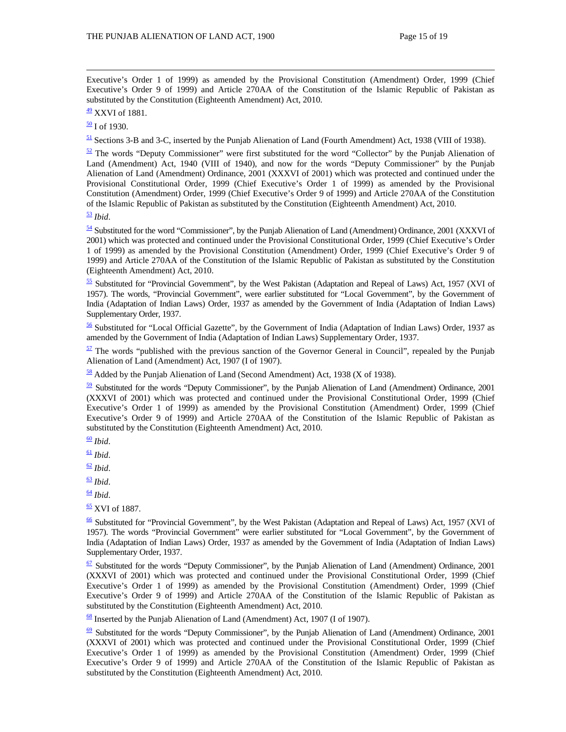Executive's Order 1 of 1999) as amended by the Provisional Constitution (Amendment) Order, 1999 (Chief Executive's Order 9 of 1999) and Article 270AA of the Constitution of the Islamic Republic of Pakistan as substituted by the Constitution (Eighteenth Amendment) Act, 2010.

 $\frac{50}{1}$  I of 1930.

 $\frac{51}{2}$  Sections 3-B and 3-C, inserted by the Punjab Alienation of Land (Fourth Amendment) Act, 1938 (VIII of 1938).

 $52$  The words "Deputy Commissioner" were first substituted for the word "Collector" by the Punjab Alienation of Land (Amendment) Act, 1940 (VIII of 1940), and now for the words "Deputy Commissioner" by the Punjab Alienation of Land (Amendment) Ordinance, 2001 (XXXVI of 2001) which was protected and continued under the Provisional Constitutional Order, 1999 (Chief Executive's Order 1 of 1999) as amended by the Provisional Constitution (Amendment) Order, 1999 (Chief Executive's Order 9 of 1999) and Article 270AA of the Constitution of the Islamic Republic of Pakistan as substituted by the Constitution (Eighteenth Amendment) Act, 2010.

<sup>53</sup> *Ibid*.

 $\frac{54}{2}$  Substituted for the word "Commissioner", by the Punjab Alienation of Land (Amendment) Ordinance, 2001 (XXXVI of 2001) which was protected and continued under the Provisional Constitutional Order, 1999 (Chief Executive's Order 1 of 1999) as amended by the Provisional Constitution (Amendment) Order, 1999 (Chief Executive's Order 9 of 1999) and Article 270AA of the Constitution of the Islamic Republic of Pakistan as substituted by the Constitution (Eighteenth Amendment) Act, 2010.

55 Substituted for "Provincial Government", by the West Pakistan (Adaptation and Repeal of Laws) Act, 1957 (XVI of 1957). The words, "Provincial Government", were earlier substituted for "Local Government", by the Government of India (Adaptation of Indian Laws) Order, 1937 as amended by the Government of India (Adaptation of Indian Laws) Supplementary Order, 1937.

56 Substituted for "Local Official Gazette", by the Government of India (Adaptation of Indian Laws) Order, 1937 as amended by the Government of India (Adaptation of Indian Laws) Supplementary Order, 1937.

 $\frac{57}{2}$  The words "published with the previous sanction of the Governor General in Council", repealed by the Punjab Alienation of Land (Amendment) Act, 1907 (I of 1907).

 $\frac{58}{18}$  Added by the Punjab Alienation of Land (Second Amendment) Act, 1938 (X of 1938).

 $\frac{59}{2}$  Substituted for the words "Deputy Commissioner", by the Punjab Alienation of Land (Amendment) Ordinance, 2001 (XXXVI of 2001) which was protected and continued under the Provisional Constitutional Order, 1999 (Chief Executive's Order 1 of 1999) as amended by the Provisional Constitution (Amendment) Order, 1999 (Chief Executive's Order 9 of 1999) and Article 270AA of the Constitution of the Islamic Republic of Pakistan as substituted by the Constitution (Eighteenth Amendment) Act, 2010.

- $\frac{61}{2}$  *Ibid.*
- $\frac{62}{ }$ *Ibid.*

 $\frac{63}{ }$  *Ibid*.

 $\frac{64}{ }$  *Ibid.* 

 $\frac{65}{2}$  XVI of 1887.

<sup>66</sup> Substituted for "Provincial Government", by the West Pakistan (Adaptation and Repeal of Laws) Act, 1957 (XVI of 1957). The words "Provincial Government" were earlier substituted for "Local Government", by the Government of India (Adaptation of Indian Laws) Order, 1937 as amended by the Government of India (Adaptation of Indian Laws) Supplementary Order, 1937.

 $\frac{67}{2}$  Substituted for the words "Deputy Commissioner", by the Punjab Alienation of Land (Amendment) Ordinance, 2001 (XXXVI of 2001) which was protected and continued under the Provisional Constitutional Order, 1999 (Chief Executive's Order 1 of 1999) as amended by the Provisional Constitution (Amendment) Order, 1999 (Chief Executive's Order 9 of 1999) and Article 270AA of the Constitution of the Islamic Republic of Pakistan as substituted by the Constitution (Eighteenth Amendment) Act, 2010.

68 Inserted by the Punjab Alienation of Land (Amendment) Act, 1907 (I of 1907).

 $\frac{69}{2}$  Substituted for the words "Deputy Commissioner", by the Punjab Alienation of Land (Amendment) Ordinance, 2001 (XXXVI of 2001) which was protected and continued under the Provisional Constitutional Order, 1999 (Chief Executive's Order 1 of 1999) as amended by the Provisional Constitution (Amendment) Order, 1999 (Chief Executive's Order 9 of 1999) and Article 270AA of the Constitution of the Islamic Republic of Pakistan as substituted by the Constitution (Eighteenth Amendment) Act, 2010.

 $\frac{49}{2}$  XXVI of 1881.

<sup>60</sup> *Ibid*.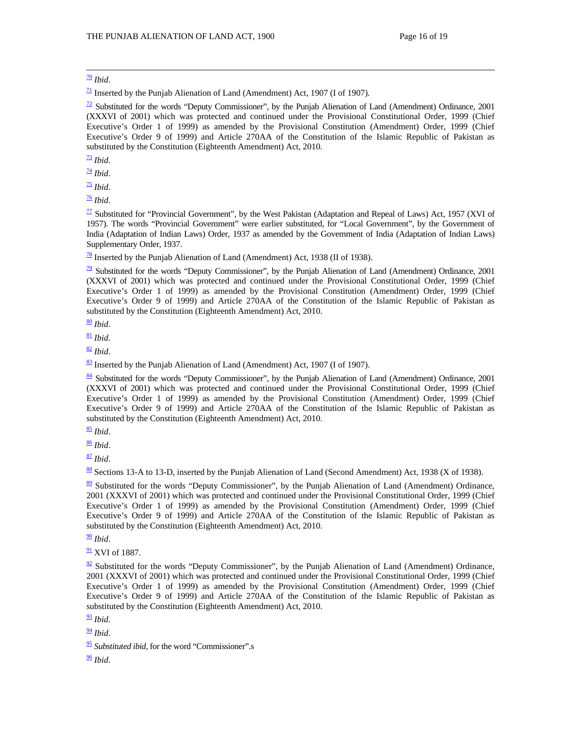$\frac{70}{2}$  *Ibid.* 

 $\frac{71}{2}$  Inserted by the Punjab Alienation of Land (Amendment) Act, 1907 (I of 1907).

 $\frac{72}{2}$  Substituted for the words "Deputy Commissioner", by the Punjab Alienation of Land (Amendment) Ordinance, 2001 (XXXVI of 2001) which was protected and continued under the Provisional Constitutional Order, 1999 (Chief Executive's Order 1 of 1999) as amended by the Provisional Constitution (Amendment) Order, 1999 (Chief Executive's Order 9 of 1999) and Article 270AA of the Constitution of the Islamic Republic of Pakistan as substituted by the Constitution (Eighteenth Amendment) Act, 2010.

 $\frac{73}{2}$  *Ibid.* 

<sup>74</sup> *Ibid*.

 $\frac{75}{2}$  *Ibid.* 

<sup>76</sup> *Ibid*.

 $\frac{77}{2}$  Substituted for "Provincial Government", by the West Pakistan (Adaptation and Repeal of Laws) Act, 1957 (XVI of 1957). The words "Provincial Government" were earlier substituted, for "Local Government", by the Government of India (Adaptation of Indian Laws) Order, 1937 as amended by the Government of India (Adaptation of Indian Laws) Supplementary Order, 1937.

 $\frac{78}{18}$  Inserted by the Punjab Alienation of Land (Amendment) Act, 1938 (II of 1938).

 $\frac{79}{2}$  Substituted for the words "Deputy Commissioner", by the Punjab Alienation of Land (Amendment) Ordinance, 2001 (XXXVI of 2001) which was protected and continued under the Provisional Constitutional Order, 1999 (Chief Executive's Order 1 of 1999) as amended by the Provisional Constitution (Amendment) Order, 1999 (Chief Executive's Order 9 of 1999) and Article 270AA of the Constitution of the Islamic Republic of Pakistan as substituted by the Constitution (Eighteenth Amendment) Act, 2010.

<sup>80</sup> *Ibid*.

 $\frac{81}{2}$  *Ibid.* 

<sup>82</sup> *Ibid*.

 $\frac{83}{2}$  Inserted by the Punjab Alienation of Land (Amendment) Act, 1907 (I of 1907).

84 Substituted for the words "Deputy Commissioner", by the Punjab Alienation of Land (Amendment) Ordinance, 2001 (XXXVI of 2001) which was protected and continued under the Provisional Constitutional Order, 1999 (Chief Executive's Order 1 of 1999) as amended by the Provisional Constitution (Amendment) Order, 1999 (Chief Executive's Order 9 of 1999) and Article 270AA of the Constitution of the Islamic Republic of Pakistan as substituted by the Constitution (Eighteenth Amendment) Act, 2010.

<sup>85</sup> *Ibid*.

<sup>86</sup> *Ibid*.

<sup>87</sup> *Ibid*.

88 Sections 13-A to 13-D, inserted by the Punjab Alienation of Land (Second Amendment) Act, 1938 (X of 1938).

89 Substituted for the words "Deputy Commissioner", by the Punjab Alienation of Land (Amendment) Ordinance, 2001 (XXXVI of 2001) which was protected and continued under the Provisional Constitutional Order, 1999 (Chief Executive's Order 1 of 1999) as amended by the Provisional Constitution (Amendment) Order, 1999 (Chief Executive's Order 9 of 1999) and Article 270AA of the Constitution of the Islamic Republic of Pakistan as substituted by the Constitution (Eighteenth Amendment) Act, 2010.

 $\frac{90}{90}$  *Ibid.* 

 $\frac{91}{2}$  XVI of 1887.

 $\frac{92}{2}$  Substituted for the words "Deputy Commissioner", by the Punjab Alienation of Land (Amendment) Ordinance, 2001 (XXXVI of 2001) which was protected and continued under the Provisional Constitutional Order, 1999 (Chief Executive's Order 1 of 1999) as amended by the Provisional Constitution (Amendment) Order, 1999 (Chief Executive's Order 9 of 1999) and Article 270AA of the Constitution of the Islamic Republic of Pakistan as substituted by the Constitution (Eighteenth Amendment) Act, 2010.

 $\frac{93}{9}$ *Ibid.* 

 $\frac{94}{9}$  *Ibid.* 

<sup>95</sup> *Substituted ibid*, for the word "Commissioner".s

<sup>96</sup> *Ibid*.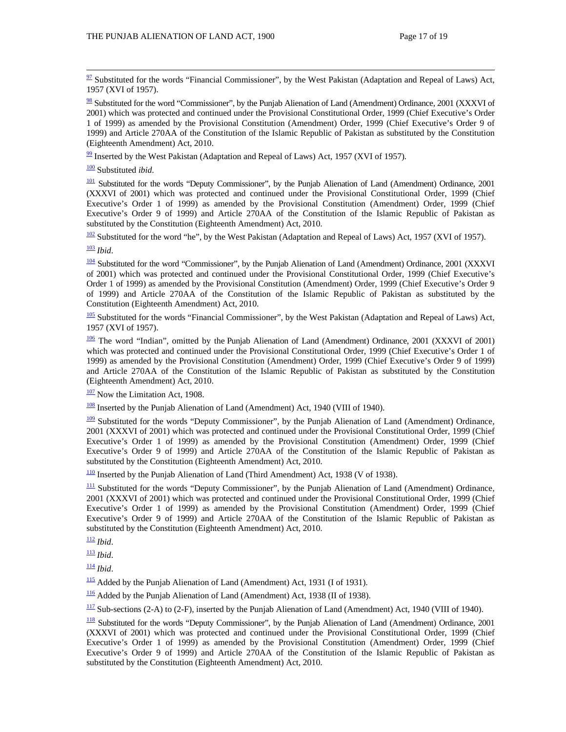$\frac{97}{2}$  Substituted for the words "Financial Commissioner", by the West Pakistan (Adaptation and Repeal of Laws) Act, 1957 (XVI of 1957).

 $98$  Substituted for the word "Commissioner", by the Punjab Alienation of Land (Amendment) Ordinance, 2001 (XXXVI of 2001) which was protected and continued under the Provisional Constitutional Order, 1999 (Chief Executive's Order 1 of 1999) as amended by the Provisional Constitution (Amendment) Order, 1999 (Chief Executive's Order 9 of 1999) and Article 270AA of the Constitution of the Islamic Republic of Pakistan as substituted by the Constitution (Eighteenth Amendment) Act, 2010.

 $\frac{99}{2}$  Inserted by the West Pakistan (Adaptation and Repeal of Laws) Act, 1957 (XVI of 1957).

100 Substituted *ibid*.

<sup>101</sup> Substituted for the words "Deputy Commissioner", by the Punjab Alienation of Land (Amendment) Ordinance, 2001 (XXXVI of 2001) which was protected and continued under the Provisional Constitutional Order, 1999 (Chief Executive's Order 1 of 1999) as amended by the Provisional Constitution (Amendment) Order, 1999 (Chief Executive's Order 9 of 1999) and Article 270AA of the Constitution of the Islamic Republic of Pakistan as substituted by the Constitution (Eighteenth Amendment) Act, 2010.

 $\frac{102}{2}$  Substituted for the word "he", by the West Pakistan (Adaptation and Repeal of Laws) Act, 1957 (XVI of 1957).

<sup>103</sup> *Ibid*.

 $\frac{104}{104}$  Substituted for the word "Commissioner", by the Punjab Alienation of Land (Amendment) Ordinance, 2001 (XXXVI of 2001) which was protected and continued under the Provisional Constitutional Order, 1999 (Chief Executive's Order 1 of 1999) as amended by the Provisional Constitution (Amendment) Order, 1999 (Chief Executive's Order 9 of 1999) and Article 270AA of the Constitution of the Islamic Republic of Pakistan as substituted by the Constitution (Eighteenth Amendment) Act, 2010.

105 Substituted for the words "Financial Commissioner", by the West Pakistan (Adaptation and Repeal of Laws) Act, 1957 (XVI of 1957).

106 The word "Indian", omitted by the Punjab Alienation of Land (Amendment) Ordinance, 2001 (XXXVI of 2001) which was protected and continued under the Provisional Constitutional Order, 1999 (Chief Executive's Order 1 of 1999) as amended by the Provisional Constitution (Amendment) Order, 1999 (Chief Executive's Order 9 of 1999) and Article 270AA of the Constitution of the Islamic Republic of Pakistan as substituted by the Constitution (Eighteenth Amendment) Act, 2010.

 $\frac{107}{100}$  Now the Limitation Act, 1908.

108 Inserted by the Punjab Alienation of Land (Amendment) Act, 1940 (VIII of 1940).

<sup>109</sup> Substituted for the words "Deputy Commissioner", by the Punjab Alienation of Land (Amendment) Ordinance, 2001 (XXXVI of 2001) which was protected and continued under the Provisional Constitutional Order, 1999 (Chief Executive's Order 1 of 1999) as amended by the Provisional Constitution (Amendment) Order, 1999 (Chief Executive's Order 9 of 1999) and Article 270AA of the Constitution of the Islamic Republic of Pakistan as substituted by the Constitution (Eighteenth Amendment) Act, 2010.

 $\frac{110}{2}$  Inserted by the Punjab Alienation of Land (Third Amendment) Act, 1938 (V of 1938).

<sup>111</sup> Substituted for the words "Deputy Commissioner", by the Punjab Alienation of Land (Amendment) Ordinance, 2001 (XXXVI of 2001) which was protected and continued under the Provisional Constitutional Order, 1999 (Chief Executive's Order 1 of 1999) as amended by the Provisional Constitution (Amendment) Order, 1999 (Chief Executive's Order 9 of 1999) and Article 270AA of the Constitution of the Islamic Republic of Pakistan as substituted by the Constitution (Eighteenth Amendment) Act, 2010.

<sup>112</sup> *Ibid*.

<sup>113</sup> *Ibid*.

<sup>114</sup> *Ibid*.

 $\frac{115}{115}$  Added by the Punjab Alienation of Land (Amendment) Act, 1931 (I of 1931).

 $\frac{116}{116}$  Added by the Punjab Alienation of Land (Amendment) Act, 1938 (II of 1938).

 $\frac{117}{2}$  Sub-sections (2-A) to (2-F), inserted by the Punjab Alienation of Land (Amendment) Act, 1940 (VIII of 1940).

118 Substituted for the words "Deputy Commissioner", by the Punjab Alienation of Land (Amendment) Ordinance, 2001 (XXXVI of 2001) which was protected and continued under the Provisional Constitutional Order, 1999 (Chief Executive's Order 1 of 1999) as amended by the Provisional Constitution (Amendment) Order, 1999 (Chief Executive's Order 9 of 1999) and Article 270AA of the Constitution of the Islamic Republic of Pakistan as substituted by the Constitution (Eighteenth Amendment) Act, 2010.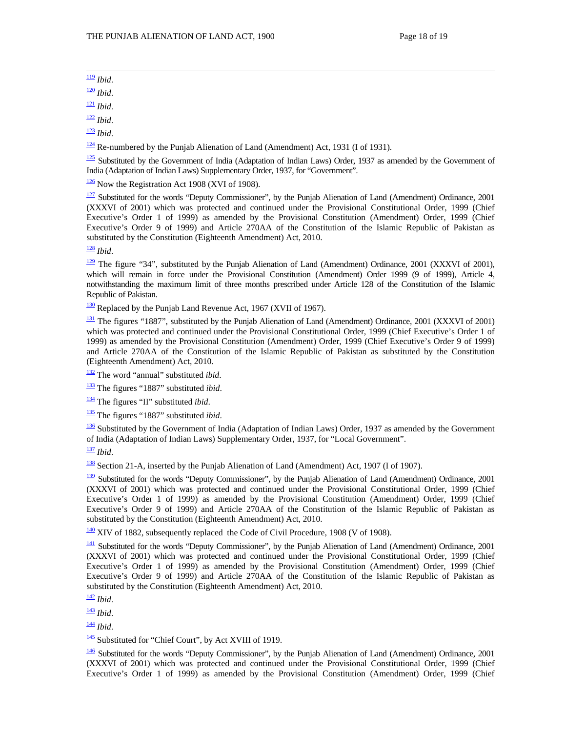119 *Ibid*.

<sup>120</sup> *Ibid*.

<sup>121</sup> *Ibid*.

<sup>122</sup> *Ibid*.

<sup>123</sup> *Ibid*.

 $\frac{124}{2}$  Re-numbered by the Punjab Alienation of Land (Amendment) Act, 1931 (I of 1931).

 $\frac{125}{2}$  Substituted by the Government of India (Adaptation of Indian Laws) Order, 1937 as amended by the Government of India (Adaptation of Indian Laws) Supplementary Order, 1937, for "Government".

 $\frac{126}{2}$  Now the Registration Act 1908 (XVI of 1908).

 $\frac{127}{2}$  Substituted for the words "Deputy Commissioner", by the Punjab Alienation of Land (Amendment) Ordinance, 2001 (XXXVI of 2001) which was protected and continued under the Provisional Constitutional Order, 1999 (Chief Executive's Order 1 of 1999) as amended by the Provisional Constitution (Amendment) Order, 1999 (Chief Executive's Order 9 of 1999) and Article 270AA of the Constitution of the Islamic Republic of Pakistan as substituted by the Constitution (Eighteenth Amendment) Act, 2010.

<sup>128</sup> *Ibid*.

<sup>129</sup> The figure "34", substituted by the Punjab Alienation of Land (Amendment) Ordinance, 2001 (XXXVI of 2001), which will remain in force under the Provisional Constitution (Amendment) Order 1999 (9 of 1999), Article 4, notwithstanding the maximum limit of three months prescribed under Article 128 of the Constitution of the Islamic Republic of Pakistan.

<sup>130</sup> Replaced by the Punjab Land Revenue Act, 1967 (XVII of 1967).

<sup>131</sup> The figures "1887", substituted by the Punjab Alienation of Land (Amendment) Ordinance, 2001 (XXXVI of 2001) which was protected and continued under the Provisional Constitutional Order, 1999 (Chief Executive's Order 1 of 1999) as amended by the Provisional Constitution (Amendment) Order, 1999 (Chief Executive's Order 9 of 1999) and Article 270AA of the Constitution of the Islamic Republic of Pakistan as substituted by the Constitution (Eighteenth Amendment) Act, 2010.

132 The word "annual" substituted *ibid*.

133 The figures "1887" substituted *ibid*.

134 The figures "II" substituted *ibid*.

135 The figures "1887" substituted *ibid*.

 $\frac{136}{136}$  Substituted by the Government of India (Adaptation of Indian Laws) Order, 1937 as amended by the Government of India (Adaptation of Indian Laws) Supplementary Order, 1937, for "Local Government".

<sup>137</sup> *Ibid*.

138 Section 21-A, inserted by the Punjab Alienation of Land (Amendment) Act, 1907 (I of 1907).

<sup>139</sup> Substituted for the words "Deputy Commissioner", by the Punjab Alienation of Land (Amendment) Ordinance, 2001 (XXXVI of 2001) which was protected and continued under the Provisional Constitutional Order, 1999 (Chief Executive's Order 1 of 1999) as amended by the Provisional Constitution (Amendment) Order, 1999 (Chief Executive's Order 9 of 1999) and Article 270AA of the Constitution of the Islamic Republic of Pakistan as substituted by the Constitution (Eighteenth Amendment) Act, 2010.

140 XIV of 1882, subsequently replaced the Code of Civil Procedure, 1908 (V of 1908).

<sup>141</sup> Substituted for the words "Deputy Commissioner", by the Punjab Alienation of Land (Amendment) Ordinance, 2001 (XXXVI of 2001) which was protected and continued under the Provisional Constitutional Order, 1999 (Chief Executive's Order 1 of 1999) as amended by the Provisional Constitution (Amendment) Order, 1999 (Chief Executive's Order 9 of 1999) and Article 270AA of the Constitution of the Islamic Republic of Pakistan as substituted by the Constitution (Eighteenth Amendment) Act, 2010.

<sup>142</sup> *Ibid*.

<sup>143</sup> *Ibid*.

<sup>144</sup> *Ibid*.

<sup>145</sup> Substituted for "Chief Court", by Act XVIII of 1919.

 $\frac{146}{146}$  Substituted for the words "Deputy Commissioner", by the Punjab Alienation of Land (Amendment) Ordinance, 2001 (XXXVI of 2001) which was protected and continued under the Provisional Constitutional Order, 1999 (Chief Executive's Order 1 of 1999) as amended by the Provisional Constitution (Amendment) Order, 1999 (Chief